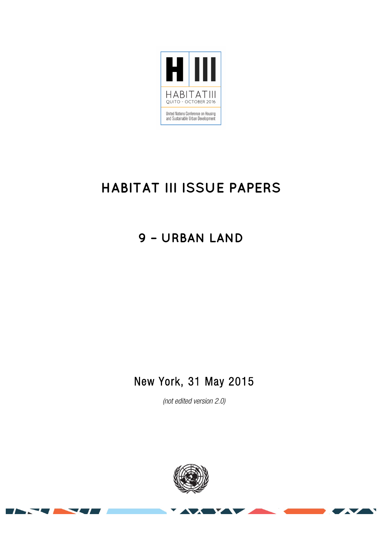

# **HABITAT III ISSUE PAPERS**

## **9 – URBAN LAND**

### New York, 31 May 2015

*(not edited version* 2.0*)* 



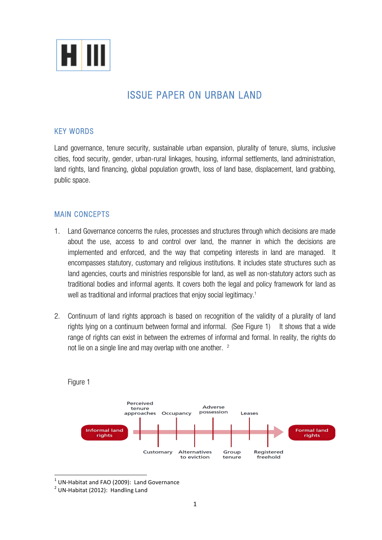

### ISSUE PAPER ON URBAN LAND

#### KEY WORDS

Land governance, tenure security, sustainable urban expansion, plurality of tenure, slums, inclusive cities, food security, gender, urban-rural linkages, housing, informal settlements, land administration, land rights, land financing, global population growth, loss of land base, displacement, land grabbing, public space.

#### MAIN CONCEPTS

- 1. Land Governance concerns the rules, processes and structures through which decisions are made about the use, access to and control over land, the manner in which the decisions are implemented and enforced, and the way that competing interests in land are managed. It encompasses statutory, customary and religious institutions. It includes state structures such as land agencies, courts and ministries responsible for land, as well as non-statutory actors such as traditional bodies and informal agents. It covers both the legal and policy framework for land as well as traditional and informal practices that enjoy social legitimacy. 1
- 2. Continuum of land rights approach is based on recognition of the validity of a plurality of land rights lying on a continuum between formal and informal. (See Figure 1) It shows that a wide range of rights can exist in between the extremes of informal and formal. In reality, the rights do not lie on a single line and may overlap with one another. <sup>2</sup>



Figure 1

<sup>&</sup>lt;sup>1</sup> UN-Habitat and FAO (2009): Land Governance <sup>2</sup> UN-Habitat (2012): Handling Land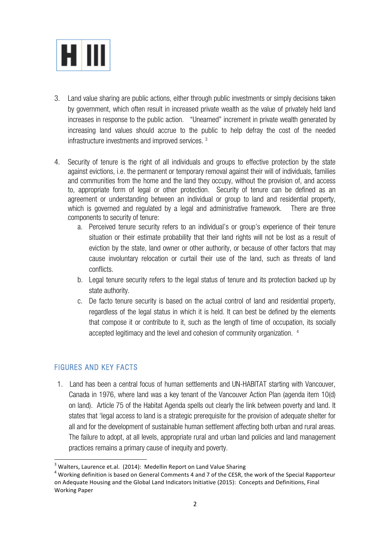

- 3. Land value sharing are public actions, either through public investments or simply decisions taken by government, which often result in increased private wealth as the value of privately held land increases in response to the public action. "Unearned" increment in private wealth generated by increasing land values should accrue to the public to help defray the cost of the needed infrastructure investments and improved services. 3
- 4. Security of tenure is the right of all individuals and groups to effective protection by the state against evictions, i.e. the permanent or temporary removal against their will of individuals, families and communities from the home and the land they occupy, without the provision of, and access to, appropriate form of legal or other protection. Security of tenure can be defined as an agreement or understanding between an individual or group to land and residential property, which is governed and regulated by a legal and administrative framework. There are three components to security of tenure:
	- a. Perceived tenure security refers to an individual's or group's experience of their tenure situation or their estimate probability that their land rights will not be lost as a result of eviction by the state, land owner or other authority, or because of other factors that may cause involuntary relocation or curtail their use of the land, such as threats of land conflicts.
	- b. Legal tenure security refers to the legal status of tenure and its protection backed up by state authority.
	- c. De facto tenure security is based on the actual control of land and residential property, regardless of the legal status in which it is held. It can best be defined by the elements that compose it or contribute to it, such as the length of time of occupation, its socially accepted legitimacy and the level and cohesion of community organization. 4

#### FIGURES AND KEY FACTS

1. Land has been a central focus of human settlements and UN-HABITAT starting with Vancouver, Canada in 1976, where land was a key tenant of the Vancouver Action Plan (agenda item 10(d) on land). Article 75 of the Habitat Agenda spells out clearly the link between poverty and land. It states that 'legal access to land is a strategic prerequisite for the provision of adequate shelter for all and for the development of sustainable human settlement affecting both urban and rural areas. The failure to adopt, at all levels, appropriate rural and urban land policies and land management practices remains a primary cause of inequity and poverty.

 $3$  Walters, Laurence et.al. (2014): Medellin Report on Land Value Sharing

 $4$  Working definition is based on General Comments 4 and 7 of the CESR, the work of the Special Rapporteur on Adequate Housing and the Global Land Indicators Initiative (2015): Concepts and Definitions, Final Working Paper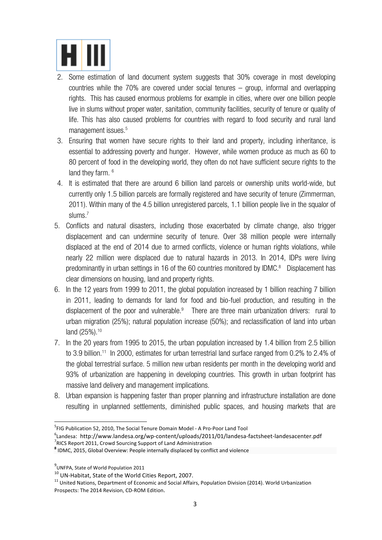

- 2. Some estimation of land document system suggests that 30% coverage in most developing countries while the 70% are covered under social tenures – group, informal and overlapping rights. This has caused enormous problems for example in cities, where over one billion people live in slums without proper water, sanitation, community facilities, security of tenure or quality of life. This has also caused problems for countries with regard to food security and rural land management issues.<sup>5</sup>
- 3. Ensuring that women have secure rights to their land and property, including inheritance, is essential to addressing poverty and hunger. However, while women produce as much as 60 to 80 percent of food in the developing world, they often do not have sufficient secure rights to the land they farm.  $6$
- 4. It is estimated that there are around 6 billion land parcels or ownership units world-wide, but currently only 1.5 billion parcels are formally registered and have security of tenure (Zimmerman, 2011). Within many of the 4.5 billion unregistered parcels, 1.1 billion people live in the squalor of slums.<sup>7</sup>
- 5. Conflicts and natural disasters, including those exacerbated by climate change, also trigger displacement and can undermine security of tenure. Over 38 million people were internally displaced at the end of 2014 due to armed conflicts, violence or human rights violations, while nearly 22 million were displaced due to natural hazards in 2013. In 2014, IDPs were living predominantly in urban settings in 16 of the 60 countries monitored by IDMC. 8 Displacement has clear dimensions on housing, land and property rights.
- 6. In the 12 years from 1999 to 2011, the global population increased by 1 billion reaching 7 billion in 2011, leading to demands for land for food and bio-fuel production, and resulting in the displacement of the poor and vulnerable.<sup>9</sup> There are three main urbanization drivers: rural to urban migration (25%); natural population increase (50%); and reclassification of land into urban land (25%).<sup>10</sup>
- 7. In the 20 years from 1995 to 2015, the urban population increased by 1.4 billion from 2.5 billion to 3.9 billion.<sup>11</sup> In 2000, estimates for urban terrestrial land surface ranged from 0.2% to 2.4% of the global terrestrial surface. 5 million new urban residents per month in the developing world and 93% of urbanization are happening in developing countries. This growth in urban footprint has massive land delivery and management implications.
- 8. Urban expansion is happening faster than proper planning and infrastructure installation are done resulting in unplanned settlements, diminished public spaces, and housing markets that are

 <sup>5</sup> FIG Publication 52, 2010, The Social Tenure Domain Model - A Pro-Poor Land Tool

<sup>&</sup>lt;sup>6</sup>Landesa: http://www.landesa.org/wp-content/uploads/2011/01/landesa-factsheet-landesacenter.pdf<br><sup>7</sup>NGS Report 2011, Graud Sourcing Support of Land Administration <sup>7</sup> RICS Report 2011, Crowd Sourcing Support of Land Administration<br>**<sup>8</sup> IDMC, 2015, Global Overview: People internally displaced by conflict and violence** 

 $^{9}$ UNFPA, State of World Population 2011

<sup>&</sup>lt;sup>10</sup> UN-Habitat, State of the World Cities Report, 2007.<br><sup>11</sup> United Nations, Department of Economic and Social Affairs, Population Division (2014). World Urbanization Prospects: The 2014 Revision, CD-ROM Edition.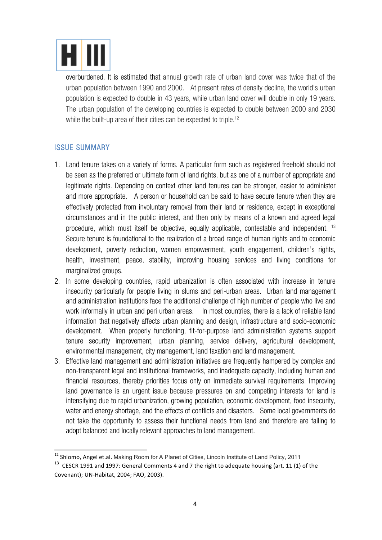

overburdened. It is estimated that annual growth rate of urban land cover was twice that of the urban population between 1990 and 2000. At present rates of density decline, the world's urban population is expected to double in 43 years, while urban land cover will double in only 19 years. The urban population of the developing countries is expected to double between 2000 and 2030 while the built-up area of their cities can be expected to triple. 12

#### ISSUE SUMMARY

- 1. Land tenure takes on a variety of forms. A particular form such as registered freehold should not be seen as the preferred or ultimate form of land rights, but as one of a number of appropriate and legitimate rights. Depending on context other land tenures can be stronger, easier to administer and more appropriate. A person or household can be said to have secure tenure when they are effectively protected from involuntary removal from their land or residence, except in exceptional circumstances and in the public interest, and then only by means of a known and agreed legal procedure, which must itself be objective, equally applicable, contestable and independent. <sup>13</sup> Secure tenure is foundational to the realization of a broad range of human rights and to economic development, poverty reduction, women empowerment, youth engagement, children's rights, health, investment, peace, stability, improving housing services and living conditions for marginalized groups.
- 2. In some developing countries, rapid urbanization is often associated with increase in tenure insecurity particularly for people living in slums and peri-urban areas. Urban land management and administration institutions face the additional challenge of high number of people who live and work informally in urban and peri urban areas. In most countries, there is a lack of reliable land information that negatively affects urban planning and design, infrastructure and socio-economic development. When properly functioning, fit-for-purpose land administration systems support tenure security improvement, urban planning, service delivery, agricultural development, environmental management, city management, land taxation and land management.
- 3. Effective land management and administration initiatives are frequently hampered by complex and non-transparent legal and institutional frameworks, and inadequate capacity, including human and financial resources, thereby priorities focus only on immediate survival requirements. Improving land governance is an urgent issue because pressures on and competing interests for land is intensifying due to rapid urbanization, growing population, economic development, food insecurity, water and energy shortage, and the effects of conflicts and disasters. Some local governments do not take the opportunity to assess their functional needs from land and therefore are failing to adopt balanced and locally relevant approaches to land management.

<sup>&</sup>lt;sup>12</sup> Shlomo, Angel et.al. Making Room for A Planet of Cities, Lincoln Institute of Land Policy, 2011

<sup>&</sup>lt;sup>13</sup> CESCR 1991 and 1997: General Comments 4 and 7 the right to adequate housing (art. 11 (1) of the Covenant); UN-Habitat, 2004; FAO, 2003).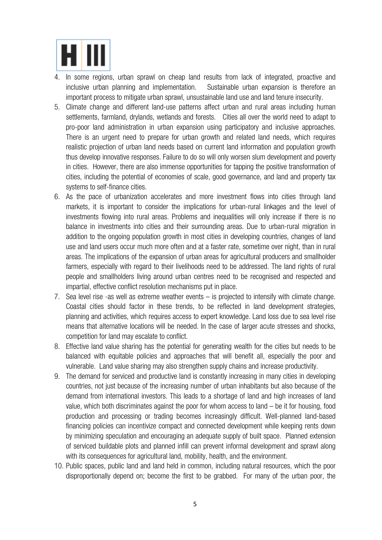

- 4. In some regions, urban sprawl on cheap land results from lack of integrated, proactive and inclusive urban planning and implementation. Sustainable urban expansion is therefore an important process to mitigate urban sprawl, unsustainable land use and land tenure insecurity.
- 5. Climate change and different land-use patterns affect urban and rural areas including human settlements, farmland, drylands, wetlands and forests. Cities all over the world need to adapt to pro-poor land administration in urban expansion using participatory and inclusive approaches. There is an urgent need to prepare for urban growth and related land needs, which requires realistic projection of urban land needs based on current land information and population growth thus develop innovative responses. Failure to do so will only worsen slum development and poverty in cities. However, there are also immense opportunities for tapping the positive transformation of cities, including the potential of economies of scale, good governance, and land and property tax systems to self-finance cities.
- 6. As the pace of urbanization accelerates and more investment flows into cities through land markets, it is important to consider the implications for urban-rural linkages and the level of investments flowing into rural areas. Problems and inequalities will only increase if there is no balance in investments into cities and their surrounding areas. Due to urban-rural migration in addition to the ongoing population growth in most cities in developing countries, changes of land use and land users occur much more often and at a faster rate, sometime over night, than in rural areas. The implications of the expansion of urban areas for agricultural producers and smallholder farmers, especially with regard to their livelihoods need to be addressed. The land rights of rural people and smallholders living around urban centres need to be recognised and respected and impartial, effective conflict resolution mechanisms put in place.
- 7. Sea level rise -as well as extreme weather events is projected to intensify with climate change. Coastal cities should factor in these trends, to be reflected in land development strategies, planning and activities, which requires access to expert knowledge. Land loss due to sea level rise means that alternative locations will be needed. In the case of larger acute stresses and shocks, competition for land may escalate to conflict.
- 8. Effective land value sharing has the potential for generating wealth for the cities but needs to be balanced with equitable policies and approaches that will benefit all, especially the poor and vulnerable. Land value sharing may also strengthen supply chains and increase productivity.
- 9. The demand for serviced and productive land is constantly increasing in many cities in developing countries, not just because of the increasing number of urban inhabitants but also because of the demand from international investors. This leads to a shortage of land and high increases of land value, which both discriminates against the poor for whom access to land – be it for housing, food production and processing or trading becomes increasingly difficult. Well-planned land-based financing policies can incentivize compact and connected development while keeping rents down by minimizing speculation and encouraging an adequate supply of built space. Planned extension of serviced buildable plots and planned infill can prevent informal development and sprawl along with its consequences for agricultural land, mobility, health, and the environment.
- 10. Public spaces, public land and land held in common, including natural resources, which the poor disproportionally depend on; become the first to be grabbed. For many of the urban poor, the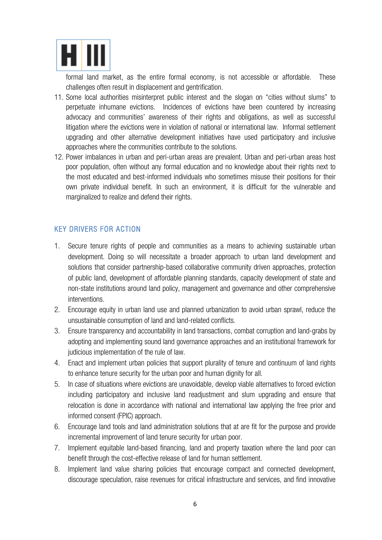

formal land market, as the entire formal economy, is not accessible or affordable. These challenges often result in displacement and gentrification.

- 11. Some local authorities misinterpret public interest and the slogan on "cities without slums" to perpetuate inhumane evictions. Incidences of evictions have been countered by increasing advocacy and communities' awareness of their rights and obligations, as well as successful litigation where the evictions were in violation of national or international law. Informal settlement upgrading and other alternative development initiatives have used participatory and inclusive approaches where the communities contribute to the solutions.
- 12. Power imbalances in urban and peri-urban areas are prevalent. Urban and peri-urban areas host poor population, often without any formal education and no knowledge about their rights next to the most educated and best-informed individuals who sometimes misuse their positions for their own private individual benefit. In such an environment, it is difficult for the vulnerable and marginalized to realize and defend their rights.

#### KEY DRIVERS FOR ACTION

- 1. Secure tenure rights of people and communities as a means to achieving sustainable urban development. Doing so will necessitate a broader approach to urban land development and solutions that consider partnership-based collaborative community driven approaches, protection of public land, development of affordable planning standards, capacity development of state and non-state institutions around land policy, management and governance and other comprehensive interventions.
- 2. Encourage equity in urban land use and planned urbanization to avoid urban sprawl, reduce the unsustainable consumption of land and land-related conflicts.
- 3. Ensure transparency and accountability in land transactions, combat corruption and land-grabs by adopting and implementing sound land governance approaches and an institutional framework for judicious implementation of the rule of law.
- 4. Enact and implement urban policies that support plurality of tenure and continuum of land rights to enhance tenure security for the urban poor and human dignity for all.
- 5. In case of situations where evictions are unavoidable, develop viable alternatives to forced eviction including participatory and inclusive land readjustment and slum upgrading and ensure that relocation is done in accordance with national and international law applying the free prior and informed consent (FPIC) approach.
- 6. Encourage land tools and land administration solutions that at are fit for the purpose and provide incremental improvement of land tenure security for urban poor.
- 7. Implement equitable land-based financing, land and property taxation where the land poor can benefit through the cost-effective release of land for human settlement.
- 8. Implement land value sharing policies that encourage compact and connected development, discourage speculation, raise revenues for critical infrastructure and services, and find innovative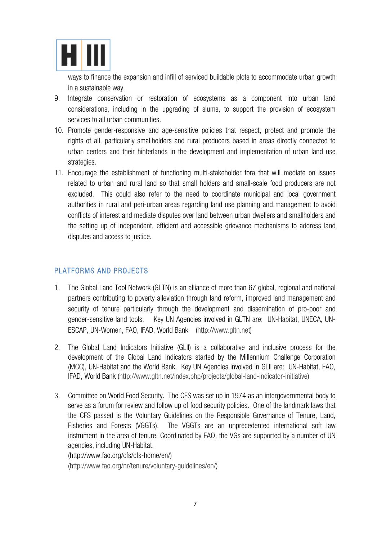

ways to finance the expansion and infill of serviced buildable plots to accommodate urban growth in a sustainable way.

- 9. Integrate conservation or restoration of ecosystems as a component into urban land considerations, including in the upgrading of slums, to support the provision of ecosystem services to all urban communities.
- 10. Promote gender-responsive and age-sensitive policies that respect, protect and promote the rights of all, particularly smallholders and rural producers based in areas directly connected to urban centers and their hinterlands in the development and implementation of urban land use strategies.
- 11. Encourage the establishment of functioning multi-stakeholder fora that will mediate on issues related to urban and rural land so that small holders and small-scale food producers are not excluded. This could also refer to the need to coordinate municipal and local government authorities in rural and peri-urban areas regarding land use planning and management to avoid conflicts of interest and mediate disputes over land between urban dwellers and smallholders and the setting up of independent, efficient and accessible grievance mechanisms to address land disputes and access to justice.

#### PLATFORMS AND PROJECTS

- 1. The Global Land Tool Network (GLTN) is an alliance of more than 67 global, regional and national partners contributing to poverty alleviation through land reform, improved land management and security of tenure particularly through the development and dissemination of pro-poor and gender-sensitive land tools. Key UN Agencies involved in GLTN are: UN-Habitat, UNECA, UN-ESCAP, UN-Women, FAO, IFAD, World Bank (http://www.gltn.net)
- 2. The Global Land Indicators Initiative (GLII) is a collaborative and inclusive process for the development of the Global Land Indicators started by the Millennium Challenge Corporation (MCC), UN-Habitat and the World Bank. Key UN Agencies involved in GLII are: UN-Habitat, FAO, IFAD, World Bank (http://www.gltn.net/index.php/projects/global-land-indicator-initiative)
- 3. Committee on World Food Security. The CFS was set up in 1974 as an intergovernmental body to serve as a forum for review and follow up of food security policies. One of the landmark laws that the CFS passed is the Voluntary Guidelines on the Responsible Governance of Tenure, Land, Fisheries and Forests (VGGTs). The VGGTs are an unprecedented international soft law instrument in the area of tenure. Coordinated by FAO, the VGs are supported by a number of UN agencies, including UN-Habitat.

(http://www.fao.org/cfs/cfs-home/en/)

(http://www.fao.org/nr/tenure/voluntary-guidelines/en/)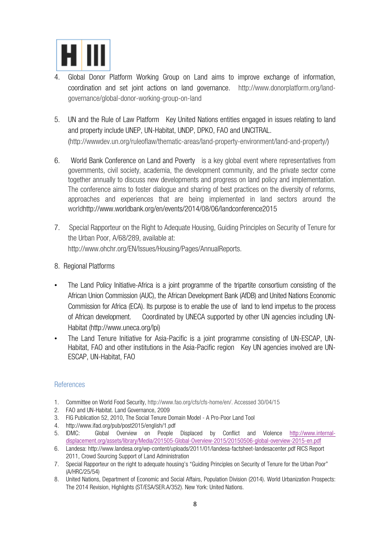

- 4. Global Donor Platform Working Group on Land aims to improve exchange of information, coordination and set joint actions on land governance. http://www.donorplatform.org/landgovernance/global-donor-working-group-on-land
- 5. UN and the Rule of Law Platform Key United Nations entities engaged in issues relating to land and property include UNEP, UN-Habitat, UNDP, DPKO, FAO and UNCITRAL. (http://wwwdev.un.org/ruleoflaw/thematic-areas/land-property-environment/land-and-property/)
- 6. World Bank Conference on Land and Poverty is a key global event where representatives from governments, civil society, academia, the development community, and the private sector come together annually to discuss new developments and progress on land policy and implementation. The conference aims to foster dialogue and sharing of best practices on the diversity of reforms, approaches and experiences that are being implemented in land sectors around the worldhttp://www.worldbank.org/en/events/2014/08/06/landconference2015
- 7. Special Rapporteur on the Right to Adequate Housing, Guiding Principles on Security of Tenure for the Urban Poor, A/68/289, available at: http://www.ohchr.org/EN/Issues/Housing/Pages/AnnualReports.
- 8. Regional Platforms
- The Land Policy Initiative-Africa is a joint programme of the tripartite consortium consisting of the African Union Commission (AUC), the African Development Bank (AfDB) and United Nations Economic Commission for Africa (ECA). Its purpose is to enable the use of land to lend impetus to the process of African development. Coordinated by UNECA supported by other UN agencies including UN-Habitat (http://www.uneca.org/lpi)
- The Land Tenure Initiative for Asia-Pacific is a joint programme consisting of UN-ESCAP, UN-Habitat, FAO and other institutions in the Asia-Pacific region Key UN agencies involved are UN-ESCAP, UN-Habitat, FAO

#### References

- 1. Committee on World Food Security, http://www.fao.org/cfs/cfs-home/en/. Accessed 30/04/15
- 2. FAO and UN-Habitat. Land Governance, 2009
- 3. FIG Publication 52, 2010, The Social Tenure Domain Model A Pro-Poor Land Tool
- 4. http://www.ifad.org/pub/post2015/english/1.pdf<br>5. IDMC: Global Overview on People
- Global Overview on People Displaced by Conflict and Violence http://www.internaldisplacement.org/assets/library/Media/201505-Global-Overview-2015/20150506-global-overview-2015-en.pdf
- 6. Landesa: http://www.landesa.org/wp-content/uploads/2011/01/landesa-factsheet-landesacenter.pdf RICS Report 2011, Crowd Sourcing Support of Land Administration
- 7. Special Rapporteur on the right to adequate housing's "Guiding Principles on Security of Tenure for the Urban Poor" (A/HRC/25/54)
- 8. United Nations, Department of Economic and Social Affairs, Population Division (2014). World Urbanization Prospects: The 2014 Revision, Highlights (ST/ESA/SER.A/352). New York: United Nations.